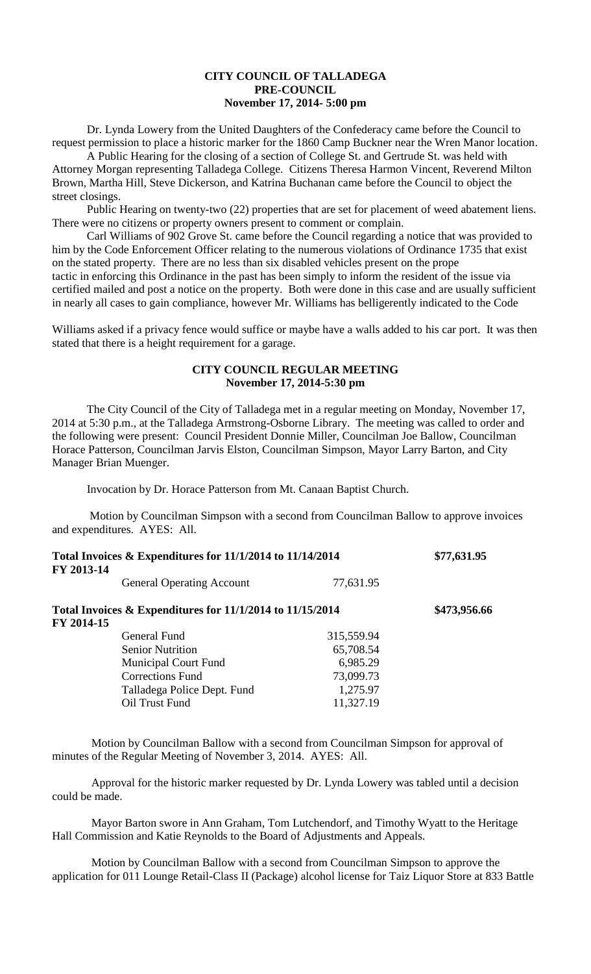# **CITY COUNCIL OF TALLADEGA PRE-COUNCIL November 17, 2014- 5:00 pm**

Dr. Lynda Lowery from the United Daughters of the Confederacy came before the Council to request permission to place a historic marker for the 1860 Camp Buckner near the Wren Manor location.

A Public Hearing for the closing of a section of College St. and Gertrude St. was held with Attorney Morgan representing Talladega College. Citizens Theresa Harmon Vincent, Reverend Milton Brown, Martha Hill, Steve Dickerson, and Katrina Buchanan came before the Council to object the street closings.

Public Hearing on twenty-two (22) properties that are set for placement of weed abatement liens. There were no citizens or property owners present to comment or complain.

Carl Williams of 902 Grove St. came before the Council regarding a notice that was provided to him by the Code Enforcement Officer relating to the numerous violations of Ordinance 1735 that exist on the stated property. There are no less than six disabled vehicles present on the prope tactic in enforcing this Ordinance in the past has been simply to inform the resident of the issue via certified mailed and post a notice on the property. Both were done in this case and are usually sufficient in nearly all cases to gain compliance, however Mr. Williams has belligerently indicated to the Code

Williams asked if a privacy fence would suffice or maybe have a walls added to his car port. It was then stated that there is a height requirement for a garage.

#### **CITY COUNCIL REGULAR MEETING November 17, 2014-5:30 pm**

The City Council of the City of Talladega met in a regular meeting on Monday, November 17, 2014 at 5:30 p.m., at the Talladega Armstrong-Osborne Library. The meeting was called to order and the following were present: Council President Donnie Miller, Councilman Joe Ballow, Councilman Horace Patterson, Councilman Jarvis Elston, Councilman Simpson, Mayor Larry Barton, and City Manager Brian Muenger.

Invocation by Dr. Horace Patterson from Mt. Canaan Baptist Church.

Motion by Councilman Simpson with a second from Councilman Ballow to approve invoices and expenditures. AYES: All.

| Total Invoices & Expenditures for 11/1/2014 to 11/14/2014<br>FY 2013-14   |            | \$77,631.95  |
|---------------------------------------------------------------------------|------------|--------------|
| <b>General Operating Account</b>                                          | 77,631.95  |              |
| Total Invoices $&$ Expenditures for 11/1/2014 to 11/15/2014<br>FY 2014-15 |            | \$473,956.66 |
| General Fund                                                              | 315,559.94 |              |
| <b>Senior Nutrition</b>                                                   | 65,708.54  |              |
| <b>Municipal Court Fund</b>                                               | 6,985.29   |              |
| <b>Corrections Fund</b>                                                   | 73,099.73  |              |
| Talladega Police Dept. Fund                                               | 1,275.97   |              |
| Oil Trust Fund                                                            | 11,327.19  |              |

Motion by Councilman Ballow with a second from Councilman Simpson for approval of minutes of the Regular Meeting of November 3, 2014. AYES: All.

Approval for the historic marker requested by Dr. Lynda Lowery was tabled until a decision could be made.

Mayor Barton swore in Ann Graham, Tom Lutchendorf, and Timothy Wyatt to the Heritage Hall Commission and Katie Reynolds to the Board of Adjustments and Appeals.

Motion by Councilman Ballow with a second from Councilman Simpson to approve the application for 011 Lounge Retail-Class II (Package) alcohol license for Taiz Liquor Store at 833 Battle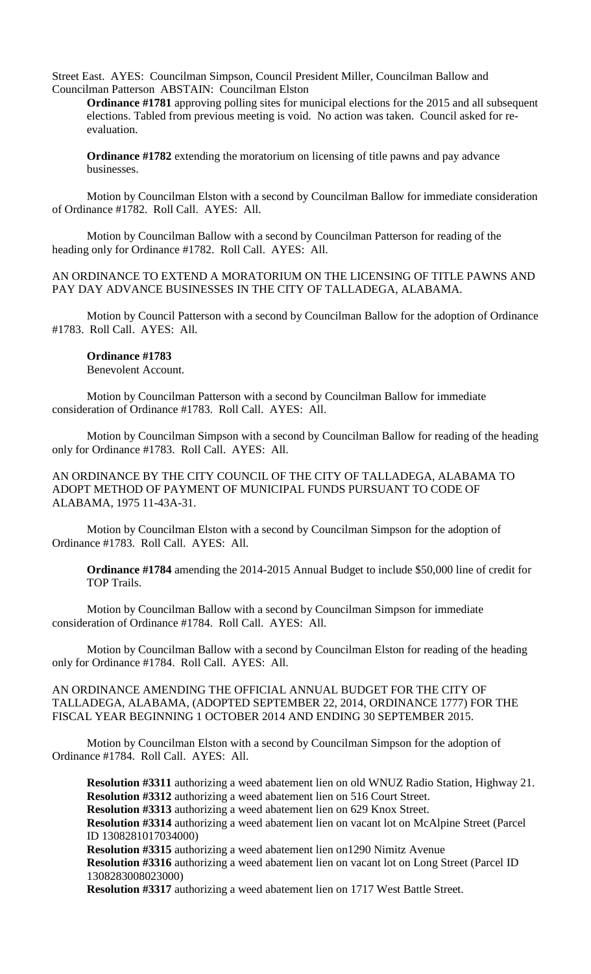Street East. AYES: Councilman Simpson, Council President Miller, Councilman Ballow and Councilman Patterson ABSTAIN: Councilman Elston

**Ordinance #1781** approving polling sites for municipal elections for the 2015 and all subsequent elections. Tabled from previous meeting is void. No action was taken. Council asked for reevaluation.

**Ordinance #1782** extending the moratorium on licensing of title pawns and pay advance businesses.

Motion by Councilman Elston with a second by Councilman Ballow for immediate consideration of Ordinance #1782. Roll Call. AYES: All.

Motion by Councilman Ballow with a second by Councilman Patterson for reading of the heading only for Ordinance #1782. Roll Call. AYES: All.

AN ORDINANCE TO EXTEND A MORATORIUM ON THE LICENSING OF TITLE PAWNS AND PAY DAY ADVANCE BUSINESSES IN THE CITY OF TALLADEGA, ALABAMA.

Motion by Council Patterson with a second by Councilman Ballow for the adoption of Ordinance #1783. Roll Call. AYES: All.

### **Ordinance #1783**

Benevolent Account.

Motion by Councilman Patterson with a second by Councilman Ballow for immediate consideration of Ordinance #1783. Roll Call. AYES: All.

Motion by Councilman Simpson with a second by Councilman Ballow for reading of the heading only for Ordinance #1783. Roll Call. AYES: All.

AN ORDINANCE BY THE CITY COUNCIL OF THE CITY OF TALLADEGA, ALABAMA TO ADOPT METHOD OF PAYMENT OF MUNICIPAL FUNDS PURSUANT TO CODE OF ALABAMA, 1975 11-43A-31.

Motion by Councilman Elston with a second by Councilman Simpson for the adoption of Ordinance #1783. Roll Call. AYES: All.

**Ordinance #1784** amending the 2014-2015 Annual Budget to include \$50,000 line of credit for TOP Trails.

Motion by Councilman Ballow with a second by Councilman Simpson for immediate consideration of Ordinance #1784. Roll Call. AYES: All.

Motion by Councilman Ballow with a second by Councilman Elston for reading of the heading only for Ordinance #1784. Roll Call. AYES: All.

#### AN ORDINANCE AMENDING THE OFFICIAL ANNUAL BUDGET FOR THE CITY OF TALLADEGA, ALABAMA, (ADOPTED SEPTEMBER 22, 2014, ORDINANCE 1777) FOR THE FISCAL YEAR BEGINNING 1 OCTOBER 2014 AND ENDING 30 SEPTEMBER 2015.

Motion by Councilman Elston with a second by Councilman Simpson for the adoption of Ordinance #1784. Roll Call. AYES: All.

**Resolution #3311** authorizing a weed abatement lien on old WNUZ Radio Station, Highway 21. **Resolution #3312** authorizing a weed abatement lien on 516 Court Street. **Resolution #3313** authorizing a weed abatement lien on 629 Knox Street. **Resolution #3314** authorizing a weed abatement lien on vacant lot on McAlpine Street (Parcel ID 1308281017034000) **Resolution #3315** authorizing a weed abatement lien on1290 Nimitz Avenue **Resolution #3316** authorizing a weed abatement lien on vacant lot on Long Street (Parcel ID 1308283008023000) **Resolution #3317** authorizing a weed abatement lien on 1717 West Battle Street.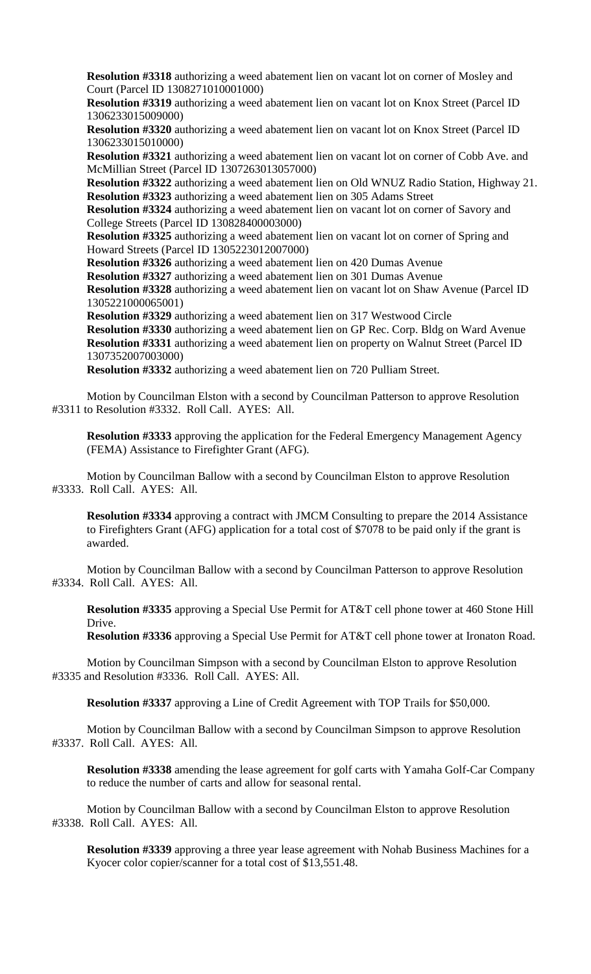**Resolution #3318** authorizing a weed abatement lien on vacant lot on corner of Mosley and Court (Parcel ID 1308271010001000)

**Resolution #3319** authorizing a weed abatement lien on vacant lot on Knox Street (Parcel ID 1306233015009000)

**Resolution #3320** authorizing a weed abatement lien on vacant lot on Knox Street (Parcel ID 1306233015010000)

**Resolution #3321** authorizing a weed abatement lien on vacant lot on corner of Cobb Ave. and McMillian Street (Parcel ID 1307263013057000)

**Resolution #3322** authorizing a weed abatement lien on Old WNUZ Radio Station, Highway 21. **Resolution #3323** authorizing a weed abatement lien on 305 Adams Street

**Resolution #3324** authorizing a weed abatement lien on vacant lot on corner of Savory and College Streets (Parcel ID 130828400003000)

**Resolution #3325** authorizing a weed abatement lien on vacant lot on corner of Spring and Howard Streets (Parcel ID 1305223012007000)

**Resolution #3326** authorizing a weed abatement lien on 420 Dumas Avenue

**Resolution #3327** authorizing a weed abatement lien on 301 Dumas Avenue

**Resolution #3328** authorizing a weed abatement lien on vacant lot on Shaw Avenue (Parcel ID 1305221000065001)

**Resolution #3329** authorizing a weed abatement lien on 317 Westwood Circle **Resolution #3330** authorizing a weed abatement lien on GP Rec. Corp. Bldg on Ward Avenue **Resolution #3331** authorizing a weed abatement lien on property on Walnut Street (Parcel ID 1307352007003000)

**Resolution #3332** authorizing a weed abatement lien on 720 Pulliam Street.

Motion by Councilman Elston with a second by Councilman Patterson to approve Resolution #3311 to Resolution #3332. Roll Call. AYES: All.

**Resolution #3333** approving the application for the Federal Emergency Management Agency (FEMA) Assistance to Firefighter Grant (AFG).

Motion by Councilman Ballow with a second by Councilman Elston to approve Resolution #3333. Roll Call. AYES: All.

**Resolution #3334** approving a contract with JMCM Consulting to prepare the 2014 Assistance to Firefighters Grant (AFG) application for a total cost of \$7078 to be paid only if the grant is awarded.

Motion by Councilman Ballow with a second by Councilman Patterson to approve Resolution #3334. Roll Call. AYES: All.

**Resolution #3335** approving a Special Use Permit for AT&T cell phone tower at 460 Stone Hill Drive.

**Resolution #3336** approving a Special Use Permit for AT&T cell phone tower at Ironaton Road.

Motion by Councilman Simpson with a second by Councilman Elston to approve Resolution #3335 and Resolution #3336. Roll Call. AYES: All.

**Resolution #3337** approving a Line of Credit Agreement with TOP Trails for \$50,000.

Motion by Councilman Ballow with a second by Councilman Simpson to approve Resolution #3337. Roll Call. AYES: All.

**Resolution #3338** amending the lease agreement for golf carts with Yamaha Golf-Car Company to reduce the number of carts and allow for seasonal rental.

Motion by Councilman Ballow with a second by Councilman Elston to approve Resolution #3338. Roll Call. AYES: All.

**Resolution #3339** approving a three year lease agreement with Nohab Business Machines for a Kyocer color copier/scanner for a total cost of \$13,551.48.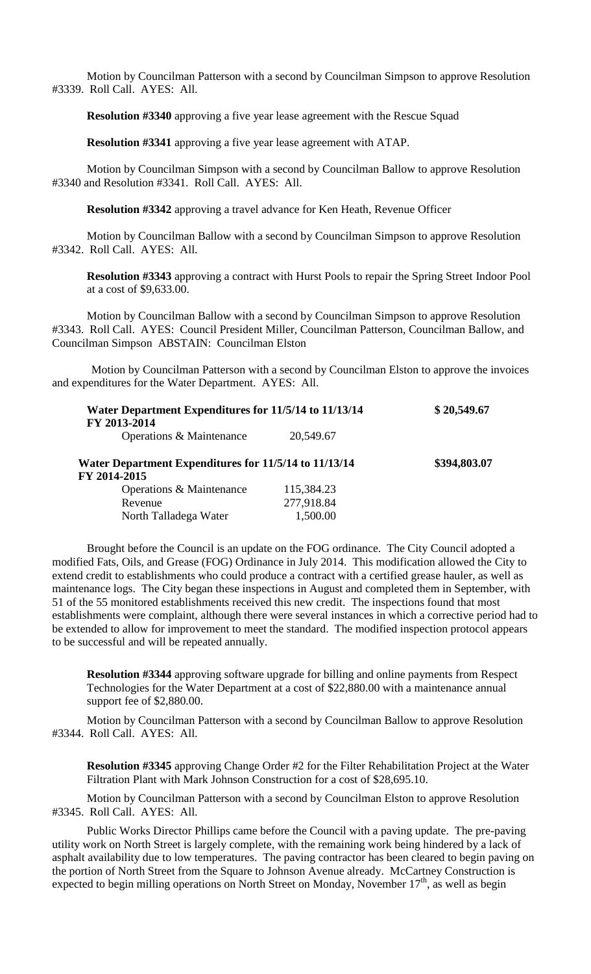Motion by Councilman Patterson with a second by Councilman Simpson to approve Resolution #3339. Roll Call. AYES: All.

**Resolution #3340** approving a five year lease agreement with the Rescue Squad

**Resolution #3341** approving a five year lease agreement with ATAP.

Motion by Councilman Simpson with a second by Councilman Ballow to approve Resolution #3340 and Resolution #3341. Roll Call. AYES: All.

**Resolution #3342** approving a travel advance for Ken Heath, Revenue Officer

Motion by Councilman Ballow with a second by Councilman Simpson to approve Resolution #3342. Roll Call. AYES: All.

**Resolution #3343** approving a contract with Hurst Pools to repair the Spring Street Indoor Pool at a cost of \$9,633.00.

Motion by Councilman Ballow with a second by Councilman Simpson to approve Resolution #3343. Roll Call. AYES: Council President Miller, Councilman Patterson, Councilman Ballow, and Councilman Simpson ABSTAIN: Councilman Elston

Motion by Councilman Patterson with a second by Councilman Elston to approve the invoices and expenditures for the Water Department. AYES: All.

| Water Department Expenditures for 11/5/14 to 11/13/14<br>FY 2013-2014 |            | \$20,549.67  |
|-----------------------------------------------------------------------|------------|--------------|
| Operations & Maintenance                                              | 20,549.67  |              |
| Water Department Expenditures for 11/5/14 to 11/13/14<br>FY 2014-2015 |            | \$394,803.07 |
| Operations & Maintenance                                              | 115,384.23 |              |
| Revenue                                                               | 277,918.84 |              |
| North Talladega Water                                                 | 1,500.00   |              |

Brought before the Council is an update on the FOG ordinance. The City Council adopted a modified Fats, Oils, and Grease (FOG) Ordinance in July 2014. This modification allowed the City to extend credit to establishments who could produce a contract with a certified grease hauler, as well as maintenance logs. The City began these inspections in August and completed them in September, with 51 of the 55 monitored establishments received this new credit. The inspections found that most establishments were complaint, although there were several instances in which a corrective period had to be extended to allow for improvement to meet the standard. The modified inspection protocol appears to be successful and will be repeated annually.

**Resolution #3344** approving software upgrade for billing and online payments from Respect Technologies for the Water Department at a cost of \$22,880.00 with a maintenance annual support fee of \$2,880.00.

Motion by Councilman Patterson with a second by Councilman Ballow to approve Resolution #3344. Roll Call. AYES: All.

**Resolution #3345** approving Change Order #2 for the Filter Rehabilitation Project at the Water Filtration Plant with Mark Johnson Construction for a cost of \$28,695.10.

Motion by Councilman Patterson with a second by Councilman Elston to approve Resolution #3345. Roll Call. AYES: All.

Public Works Director Phillips came before the Council with a paving update. The pre-paving utility work on North Street is largely complete, with the remaining work being hindered by a lack of asphalt availability due to low temperatures. The paving contractor has been cleared to begin paving on the portion of North Street from the Square to Johnson Avenue already. McCartney Construction is expected to begin milling operations on North Street on Monday, November  $17<sup>th</sup>$ , as well as begin